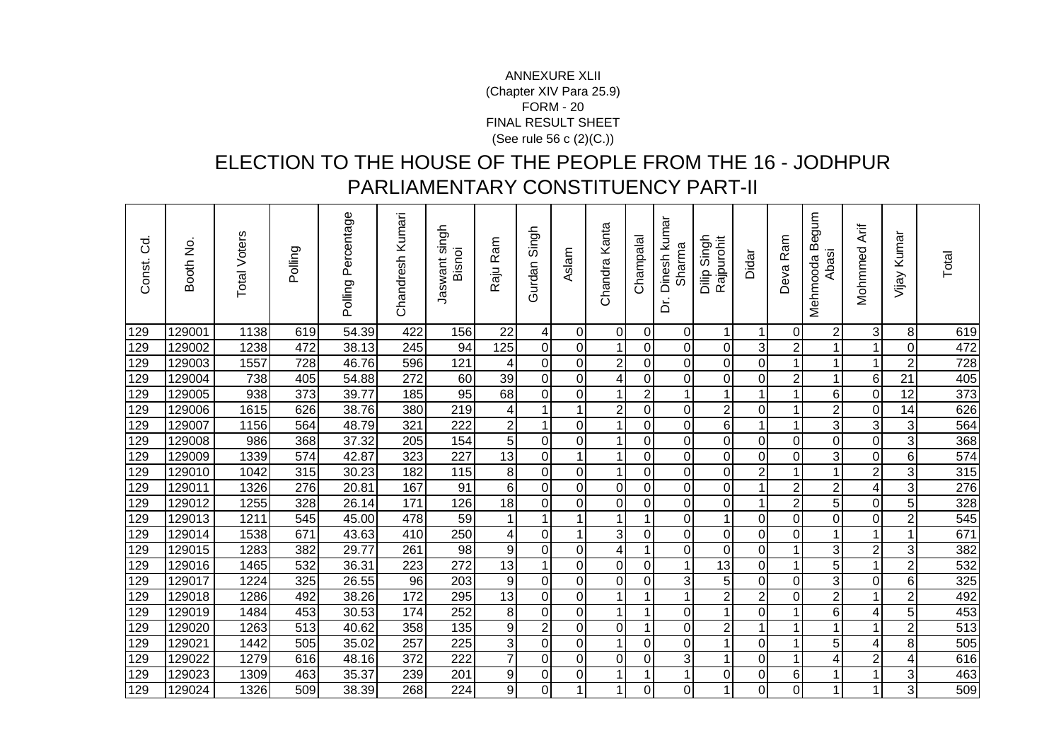## FORM - 20 FINAL RESULT SHEET (See rule 56 c (2)(C.))ANNEXURE XLII(Chapter XIV Para 25.9)

## ELECTION TO THE HOUSE OF THE PEOPLE FROM THE 16 - JODHPUR PARLIAMENTARY CONSTITUENCY PART-II

| $\vec{c}$<br>Const. | Booth No. | <b>Total Voters</b> | Polling | Polling Percentage | Chandresh Kumari | singh<br>Bisnoi<br>Jaswant | Raju Ram         | Singh<br>Gurdan | Aslam          | Chandra Kanta  | Champalal      | Dinesh kumar<br>Sharma<br>خ | Singh<br>Rajpurohit<br>Dilip | Didar            | Ram<br>Deva    | mnbe<br>∞<br>Abasi<br>Mehmooda | Mohmmed Arif            | Kumar<br>Vijay  | Total |
|---------------------|-----------|---------------------|---------|--------------------|------------------|----------------------------|------------------|-----------------|----------------|----------------|----------------|-----------------------------|------------------------------|------------------|----------------|--------------------------------|-------------------------|-----------------|-------|
| 129                 | 129001    | 1138                | 619     | 54.39              | 422              | 156                        | 22               | 4               | $\overline{0}$ | $\overline{0}$ | 0              | $\overline{0}$              | 1                            | 1                | 0              | $\mathbf{2}$                   | $\overline{3}$          | 8               | 619   |
| 129                 | 129002    | 1238                | 472     | 38.13              | 245              | 94                         | 125              | $\overline{0}$  | $\Omega$       | $\mathbf{1}$   | 0              | $\overline{O}$              | 0                            | 3                | $\overline{2}$ | $\mathbf{1}$                   |                         | 0               | 472   |
| 129                 | 129003    | 1557                | 728     | 46.76              | 596              | 121                        | 4                | $\overline{0}$  | $\overline{0}$ | $\overline{2}$ | $\overline{0}$ | $\overline{O}$              | $\mathbf 0$                  | $\overline{0}$   |                | $\mathbf{1}$                   | 1                       | $\overline{2}$  | 728   |
| 129                 | 129004    | 738                 | 405     | 54.88              | 272              | 60                         | 39               | $\mathbf 0$     | $\Omega$       | 4              | $\mathbf 0$    | $\overline{0}$              | 0                            | $\overline{0}$   | $\overline{2}$ | $\mathbf{1}$                   | 6                       | $\overline{21}$ | 405   |
| 129                 | 129005    | 938                 | 373     | 39.77              | 185              | 95                         | 68               | $\overline{0}$  | $\overline{0}$ | $\mathbf 1$    | $\overline{2}$ | $\mathbf{1}$                | $\mathbf{1}$                 | 1                | 1              | $6 \mid$                       | 0                       | $\overline{12}$ | 373   |
| 129                 | 129006    | 1615                | 626     | 38.76              | 380              | 219                        | 4                | 1               |                | $\overline{c}$ | 0              | $\overline{0}$              | 2                            | $\overline{0}$   |                | $\overline{2}$                 | 0                       | 14              | 626   |
| 129                 | 129007    | 1156                | 564     | 48.79              | 321              | $\overline{222}$           | $\overline{2}$   | $\mathbf 1$     | $\overline{0}$ | $\mathbf{1}$   | $\pmb{0}$      | $\overline{0}$              | $\overline{6}$               | $\mathbf{1}$     |                | $\overline{3}$                 | 3                       | 3               | 564   |
| 129                 | 129008    | 986                 | 368     | 37.32              | 205              | 154                        | 5                | $\overline{0}$  | $\overline{0}$ | 1              | $\pmb{0}$      | $\overline{0}$              | 0                            | $\pmb{0}$        | 0              | $\overline{O}$                 | 0                       | 3               | 368   |
| 129                 | 129009    | 1339                | 574     | 42.87              | 323              | 227                        | 13               | $\overline{0}$  |                | $\mathbf{1}$   | $\mathbf 0$    | $\overline{0}$              | $\overline{0}$               | $\Omega$         | $\Omega$       | $\overline{3}$                 | $\pmb{0}$               | 6               | 574   |
| 129                 | 129010    | 1042                | 315     | 30.23              | 182              | 115                        | $\bf 8$          | $\overline{0}$  | $\overline{0}$ | $\mathbf{1}$   | 0              | $\overline{0}$              | $\mathbf 0$                  | $\overline{2}$   | 1              | $\mathbf{1}$                   | $\overline{2}$          | 3               | 315   |
| 129                 | 129011    | 1326                | 276     | 20.81              | 167              | 91                         | 6                | $\overline{0}$  | $\overline{0}$ | $\mathbf 0$    | $\pmb{0}$      | $\overline{O}$              | 0                            | 1                | $\overline{2}$ | $\mathbf{2}$                   | 4                       | 3               | 276   |
| 129                 | 129012    | 1255                | 328     | 26.14              | 171              | 126                        | $\frac{1}{8}$    | $\mathbf 0$     | $\overline{0}$ | $\pmb{0}$      | $\pmb{0}$      | $\overline{O}$              | $\pmb{0}$                    |                  | $\overline{2}$ | $5\overline{)}$                | 0                       | 5               | 328   |
| 129                 | 129013    | 1211                | 545     | 45.00              | 478              | 59                         | 1                | $\mathbf 1$     | 1.             | $\mathbf 1$    | 1              | $\overline{0}$              | 1                            | $\overline{0}$   | $\Omega$       | $\overline{0}$                 | 0                       | $\overline{2}$  | 545   |
| 129                 | 129014    | 1538                | 671     | 43.63              | 410              | 250                        | 4                | $\overline{0}$  |                | 3 <sup>1</sup> | $\pmb{0}$      | $\overline{O}$              | $\pmb{0}$                    | 0                | $\mathbf 0$    | $\mathbf{1}$                   | 1                       | 1               | 671   |
| 129                 | 129015    | 1283                | 382     | 29.77              | 261              | 98                         | 9                | $\Omega$        | $\overline{0}$ | $\overline{4}$ |                | $\overline{0}$              | 0                            | $\Omega$         |                | $\overline{3}$                 | $\overline{\mathbf{c}}$ | 3               | 382   |
| 129                 | 129016    | 1465                | 532     | 36.31              | 223              | 272                        | 13               | $\mathbf 1$     | $\overline{0}$ | $\mathbf 0$    | $\overline{0}$ | 1                           | 13                           | 0                | 1              | 5                              | $\mathbf 1$             | $\overline{2}$  | 532   |
| 129                 | 129017    | 1224                | 325     | 26.55              | 96               | $\overline{203}$           | $\boldsymbol{9}$ | $\overline{0}$  | $\Omega$       | $\overline{0}$ | $\overline{0}$ | $\overline{3}$              | 5                            | $\overline{0}$   | $\mathbf 0$    | $\overline{3}$                 | $\overline{0}$          | 6               | 325   |
| 129                 | 129018    | 1286                | 492     | 38.26              | 172              | 295                        | 13               | $\overline{0}$  | $\overline{0}$ | $\mathbf{1}$   |                | $\mathbf{1}$                | $\boldsymbol{2}$             | $\boldsymbol{2}$ | 0              | $\mathbf{2}$                   | 1                       | $\overline{2}$  | 492   |
| 129                 | 129019    | 1484                | 453     | 30.53              | 174              | 252                        | $\bf 8$          | $\Omega$        | $\overline{0}$ | $\mathbf 1$    | $\mathbf{1}$   | $\overline{O}$              | $\mathbf{1}$                 | $\overline{0}$   | 1              | $\overline{6}$                 | 4                       | 5               | 453   |
| 129                 | 129020    | 1263                | 513     | 40.62              | 358              | 135                        | 9                | $\overline{2}$  | $\overline{0}$ | $\overline{0}$ | $\mathbf{1}$   | $\overline{0}$              | $\overline{2}$               | $\mathbf{1}$     | 1              | 1                              | $\mathbf{1}$            | $\overline{2}$  | 513   |
| 129                 | 129021    | 1442                | 505     | 35.02              | 257              | 225                        | $\mathbf{3}$     | $\overline{0}$  | 0              | $\mathbf 1$    | 0              | $\overline{0}$              | 1                            | 0                |                | $5\vert$                       | 4                       | 8               | 505   |
| 129                 | 129022    | 1279                | 616     | 48.16              | $\overline{372}$ | $\overline{222}$           | $\overline{7}$   | $\overline{0}$  | $\overline{0}$ | Ō              | $\mathbf 0$    | 3                           | $\mathbf{1}$                 | $\overline{0}$   | 1              | $\overline{\mathbf{A}}$        | $\overline{2}$          | 4               | 616   |
| 129                 | 129023    | 1309                | 463     | 35.37              | 239              | 201                        | $\boldsymbol{9}$ | $\overline{0}$  | $\overline{0}$ | $\mathbf{1}$   | 1              | $\mathbf 1$                 | 0                            | $\Omega$         | 6              | $\mathbf{1}$                   | 1                       | 3               | 463   |
| 129                 | 129024    | 1326                | 509     | 38.39              | 268              | 224                        | $\overline{9}$   | $\Omega$        |                | 1              | $\overline{0}$ | $\overline{0}$              | 1                            | $\overline{0}$   | $\Omega$       | $\mathbf{1}$                   | 1                       | 3               | 509   |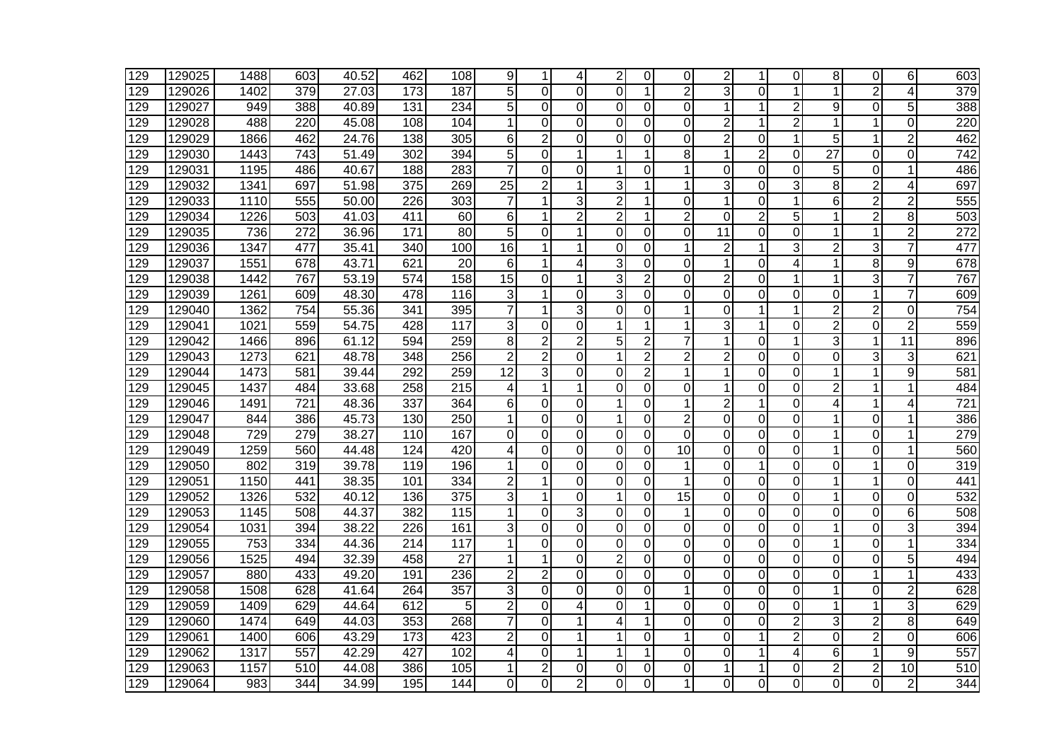| 129 | 129025 | 1488 | 603 | 40.52 | 462 | 108              | 9               | 1              | 4              | 2              | 0              | $\Omega$       | $\overline{2}$  | 1              | $\Omega$       | 8               | $\Omega$       | 6                        | 603              |
|-----|--------|------|-----|-------|-----|------------------|-----------------|----------------|----------------|----------------|----------------|----------------|-----------------|----------------|----------------|-----------------|----------------|--------------------------|------------------|
| 129 | 129026 | 1402 | 379 | 27.03 | 173 | 187              | 5               | $\Omega$       | $\Omega$       | 0              |                | $\overline{2}$ | 3               | $\Omega$       | 1              | 1               | $\overline{2}$ | $\overline{\mathcal{A}}$ | 379              |
| 129 | 129027 | 949  | 388 | 40.89 | 131 | 234              | 5               | 0              | $\mathbf 0$    | 0              | $\Omega$       | 0              | $\mathbf{1}$    | 1              | $\overline{2}$ | 9               | $\mathbf 0$    | 5                        | 388              |
| 129 | 129028 | 488  | 220 | 45.08 | 108 | 104              | 1               | 0              | $\Omega$       | 0              | $\Omega$       | 0              | 2               | 1              | $\overline{2}$ | 1               | 1              | $\Omega$                 | 220              |
| 129 | 129029 | 1866 | 462 | 24.76 | 138 | 305              | 6               | $\overline{2}$ | $\Omega$       | 0              | 0              | 0              | $\overline{2}$  | 0              | 1              | 5               | 1              | $\overline{2}$           | 462              |
| 129 | 129030 | 1443 | 743 | 51.49 | 302 | 394              | 5               | 0              | 1              | 1              | 1              | 8              | 1               | $\overline{2}$ | $\mathbf 0$    | $\overline{27}$ | 0              | $\Omega$                 | 742              |
| 129 | 129031 | 1195 | 486 | 40.67 | 188 | 283              | $\overline{7}$  | $\Omega$       | 0              | 1              | 0              | 1              | $\mathbf 0$     | $\Omega$       | $\overline{0}$ | 5               | 0              | 1                        | 486              |
| 129 | 129032 | 1341 | 697 | 51.98 | 375 | 269              | $\overline{25}$ | $\overline{2}$ | 1              | 3              | 1              | 1              | 3               | $\mathbf 0$    | 3              | $\overline{8}$  | $\overline{2}$ | 4                        | 697              |
| 129 | 129033 | 1110 | 555 | 50.00 | 226 | 303              | $\overline{7}$  | 1              | 3              | $\overline{2}$ |                | $\overline{0}$ | $\overline{1}$  | $\overline{0}$ | $\overline{1}$ | $\overline{6}$  | $\overline{2}$ | $\overline{2}$           | 555              |
| 129 | 129034 | 1226 | 503 | 41.03 | 411 | 60               | 6               | $\mathbf 1$    | $\overline{2}$ | $\overline{2}$ | 1              | $\overline{2}$ | $\overline{0}$  | $\overline{2}$ | $\overline{5}$ | 1               | $\overline{2}$ | $\overline{8}$           | 503              |
| 129 | 129035 | 736  | 272 | 36.96 | 171 | 80               | 5               | $\Omega$       | 1              | 0              | $\Omega$       | 0              | $\overline{11}$ | $\Omega$       | $\overline{0}$ | 1               | 1              | $\overline{2}$           | 272              |
| 129 | 129036 | 1347 | 477 | 35.41 | 340 | 100              | 16              | 1              | 1              | 0              | $\Omega$       | 1              | $\overline{2}$  | 1              | 3              | $\overline{c}$  | 3              | $\overline{7}$           | 477              |
| 129 | 129037 | 1551 | 678 | 43.71 | 621 | 20               | 6               | 1              | 4              | 3              | 0              | 0              | $\mathbf{1}$    | 0              | $\overline{4}$ | 1               | 8              | 9                        | 678              |
| 129 | 129038 | 1442 | 767 | 53.19 | 574 | 158              | 15              | 0              | 1              | 3              | $\overline{2}$ | 0              | $\overline{c}$  | $\Omega$       | 1              | 1               | 3              | $\overline{7}$           | 767              |
| 129 | 129039 | 1261 | 609 | 48.30 | 478 | 116              | 3               | 1              | $\Omega$       | 3              | 0              | 0              | $\overline{0}$  | 0              | $\mathbf 0$    | 0               | 1              | $\overline{7}$           | 609              |
| 129 | 129040 | 1362 | 754 | 55.36 | 341 | 395              | $\overline{7}$  | 1              | 3              | $\overline{0}$ | $\overline{0}$ | 1              | $\overline{0}$  | 1              | $\mathbf{1}$   | $\overline{2}$  | $\overline{2}$ | $\overline{0}$           | 754              |
| 129 | 129041 | 1021 | 559 | 54.75 | 428 | 117              | 3               | 0              | $\overline{0}$ | 1              | 1              | 1              | 3               | 1              | $\overline{0}$ | $\overline{2}$  | $\overline{0}$ | $\overline{2}$           | 559              |
| 129 | 129042 | 1466 | 896 | 61.12 | 594 | 259              | 8               | $\overline{2}$ | $\overline{2}$ | 5              | $\overline{2}$ | 7              | 1               | $\Omega$       | 1              | 3               | 1              | 11                       | 896              |
| 129 | 129043 | 1273 | 621 | 48.78 | 348 | 256              | $\overline{2}$  | $\overline{2}$ | $\overline{0}$ | 1              | $\overline{2}$ | $\overline{2}$ | $\overline{2}$  | 0              | $\overline{0}$ | $\overline{0}$  | 3              | 3                        | 621              |
| 129 | 129044 | 1473 | 581 | 39.44 | 292 | 259              | $\overline{12}$ | 3              | $\Omega$       | 0              | $\overline{2}$ | 1              | 1               | 0              | $\Omega$       | 1               |                | 9                        | 581              |
| 129 | 129045 | 1437 | 484 | 33.68 | 258 | 215              | 4               | 1              | $\mathbf 1$    | 0              | 0              | 0              | 1               | 0              | $\mathbf 0$    | $\overline{c}$  | 1              | 1                        | 484              |
| 129 | 129046 | 1491 | 721 | 48.36 | 337 | 364              | 6               | 0              | 0              | 1              | 0              | 1              | $\overline{c}$  | 1              | $\mathbf 0$    | 4               | 1              | 4                        | $\overline{721}$ |
| 129 | 129047 | 844  | 386 | 45.73 | 130 | 250              | 1               | $\mathbf 0$    | 0              | 1              | $\mathbf 0$    | $\overline{2}$ | $\mathbf 0$     | $\mathbf 0$    | $\mathbf 0$    | 1               | $\mathbf 0$    | 1                        | 386              |
| 129 | 129048 | 729  | 279 | 38.27 | 110 | 167              | $\Omega$        | 0              | 0              | 0              | $\Omega$       | $\overline{0}$ | $\overline{0}$  | $\overline{0}$ | $\overline{0}$ | 1               | $\overline{0}$ | 1                        | 279              |
| 129 | 129049 | 1259 | 560 | 44.48 | 124 | 420              | 4               | 0              | $\overline{0}$ | $\overline{0}$ | $\overline{0}$ | 10             | $\overline{0}$  | 0              | $\overline{0}$ | 1               | $\mathbf 0$    | $\mathbf 1$              | 560              |
| 129 | 129050 | 802  | 319 | 39.78 | 119 | 196              | 1               | $\Omega$       | 0              | 0              | $\overline{0}$ | 1              | $\Omega$        | 1              | $\overline{0}$ | 0               | 1              | $\Omega$                 | $\overline{319}$ |
| 129 | 129051 | 1150 | 441 | 38.35 | 101 | 334              | $\overline{2}$  | 1              | $\overline{0}$ | 0              | $\overline{0}$ | 1              | $\overline{0}$  | 0              | $\overline{0}$ | 1               | 1              | $\overline{0}$           | 441              |
| 129 | 129052 | 1326 | 532 | 40.12 | 136 | $\overline{375}$ | 3               | 1              | $\Omega$       | 1              | $\Omega$       | 15             | $\Omega$        | $\Omega$       | $\overline{0}$ | 1               | 0              | $\Omega$                 | 532              |
| 129 | 129053 | 1145 | 508 | 44.37 | 382 | 115              | 1               | 0              | 3              | 0              | 0              | 1              | $\mathbf 0$     | 0              | $\mathbf 0$    | 0               | 0              | 6                        | 508              |
| 129 | 129054 | 1031 | 394 | 38.22 | 226 | 161              | 3               | 0              | $\Omega$       | 0              | 0              | 0              | $\mathbf 0$     | 0              | $\mathbf 0$    | 1               | $\Omega$       | 3                        | 394              |
| 129 | 129055 | 753  | 334 | 44.36 | 214 | 117              | 1               | 0              | 0              | 0              | $\mathbf 0$    | 0              | $\mathbf 0$     | $\mathbf 0$    | $\overline{0}$ | 1               | $\mathbf 0$    | 1                        | 334              |
| 129 | 129056 | 1525 | 494 | 32.39 | 458 | 27               | 1               | 1              | $\mathbf 0$    | $\overline{c}$ | 0              | 0              | $\overline{0}$  | 0              | $\overline{0}$ | 0               | $\overline{0}$ | 5                        | 494              |
| 129 | 129057 | 880  | 433 | 49.20 | 191 | 236              | $\overline{c}$  | $\overline{2}$ | $\Omega$       | 0              | $\mathbf 0$    | 0              | $\Omega$        | $\Omega$       | $\overline{0}$ | 0               | 1              | 1                        | 433              |
| 129 | 129058 | 1508 | 628 | 41.64 | 264 | 357              | 3               | 0              | 0              | 0              | 0              | 1              | $\overline{0}$  | 0              | $\overline{0}$ | 1               | $\mathbf 0$    | $\overline{2}$           | 628              |
| 129 | 129059 | 1409 | 629 | 44.64 | 612 | 5                | $\overline{c}$  | 0              | 4              | 0              | 1              | 0              | $\overline{0}$  | 0              | 0              | 1               | 1              | 3                        | 629              |
| 129 | 129060 | 1474 | 649 | 44.03 | 353 | 268              |                 | 0              | 1              | 4              | 1              | 0              | $\Omega$        | 0              | $\overline{2}$ | 3               | 2              | 8                        | 649              |
| 129 | 129061 | 1400 | 606 | 43.29 | 173 | 423              | $\overline{2}$  | $\Omega$       |                | 1              | 0              | 1              | $\Omega$        | 1              | $\overline{2}$ | 0               | $\overline{2}$ | 0                        | 606              |
| 129 | 129062 | 1317 | 557 | 42.29 | 427 | 102              | 4               | $\Omega$       |                | 1              | 1              | 0              | $\Omega$        | 1              | $\overline{4}$ | $\overline{6}$  | 1              | 9                        | 557              |
| 129 | 129063 | 1157 | 510 | 44.08 | 386 | 105              | 1               | $\overline{c}$ | 0              | 0              | 0              | 0              | 1               | 1              | 0              | $\overline{2}$  | $\overline{c}$ | 10                       | 510              |
| 129 | 129064 | 983  | 344 | 34.99 | 195 | 144              | 0               | 0              | $\overline{2}$ | 0              | $\Omega$       | 1              | $\overline{0}$  | 0              | 0              | $\overline{0}$  | $\overline{0}$ | $\overline{2}$           | 344              |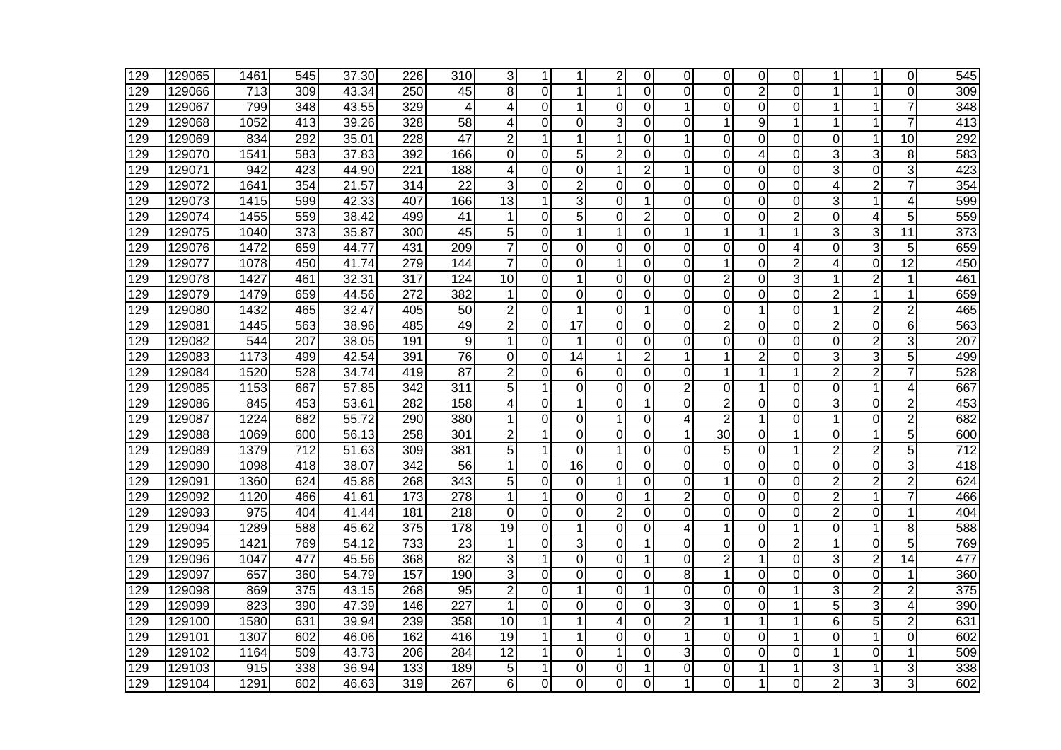| 129 | 129065 | 1461 | 545              | 37.30              | 226              | 310              | 3               | 1              |                | $\overline{2}$ | 0              | $\Omega$       | 0               | 0              | $\Omega$       | 1                       | 1              | 0              | 545              |
|-----|--------|------|------------------|--------------------|------------------|------------------|-----------------|----------------|----------------|----------------|----------------|----------------|-----------------|----------------|----------------|-------------------------|----------------|----------------|------------------|
| 129 | 129066 | 713  | 309              | 43.34              | 250              | 45               | 8               | $\Omega$       |                | $\mathbf{1}$   | 0              | 0              | $\Omega$        | $\overline{2}$ | $\Omega$       | 1                       | 1              | $\Omega$       | 309              |
| 129 | 129067 | 799  | 348              | 43.55              | 329              | Δ                | 4               | 0              |                | $\Omega$       | 0              | 1              | $\overline{0}$  | $\overline{0}$ | $\Omega$       | 1                       | 1              | 7              | 348              |
| 129 | 129068 | 1052 | 413              | 39.26              | 328              | 58               | 4               | 0              | $\Omega$       | 3              | 0              | 0              | 1               | 9              | 1              | 1                       | 1              | 7              | $\overline{413}$ |
| 129 | 129069 | 834  | 292              | 35.01              | 228              | 47               | 2               | 1              | 1              | 1              | 0              | 1              | 0               | 0              | 0              | 0                       | 1              | 10             | 292              |
| 129 | 129070 | 1541 | 583              | 37.83              | 392              | 166              | 0               | 0              | 5              | $\overline{2}$ | 0              | 0              | 0               | 4              | 0              | 3                       | 3              | 8              | 583              |
| 129 | 129071 | 942  | 423              | 44.90              | 221              | 188              | 4               | $\Omega$       | $\Omega$       | 1              | $\overline{2}$ | 1              | $\Omega$        | $\Omega$       | $\Omega$       | 3                       | 0              | 3              | 423              |
| 129 | 129072 | 1641 | 354              | 21.57              | $\overline{314}$ | $\overline{22}$  | 3               | $\mathbf 0$    | $\overline{2}$ | $\Omega$       | 0              | $\Omega$       | $\overline{0}$  | $\mathbf 0$    | $\mathbf 0$    | $\overline{4}$          | $\overline{2}$ | $\overline{7}$ | 354              |
| 129 | 129073 | 1415 | 599              | $\overline{42.33}$ | 407              | 166              | $\overline{13}$ | 1              | 3              | 0              |                | $\overline{0}$ | $\overline{0}$  | $\overline{0}$ | $\overline{0}$ | ω                       | 1              | $\overline{4}$ | 599              |
| 129 | 129074 | 1455 | 559              | 38.42              | 499              | $\overline{41}$  | 1               | $\mathbf 0$    | $\overline{5}$ | 0              | $\overline{2}$ | 0              | $\overline{0}$  | $\overline{0}$ | $\overline{2}$ | $\overline{0}$          | 4              | 5              | 559              |
| 129 | 129075 | 1040 | $\overline{373}$ | 35.87              | 300              | 45               | 5               | 0              | 1              | $\mathbf{1}$   | 0              | 1              | 1               | 1              | 1              | 3                       | 3              | 11             | 373              |
| 129 | 129076 | 1472 | 659              | 44.77              | 431              | 209              | 7               | 0              | 0              | 0              | 0              | 0              | 0               | 0              | 4              | 0                       | 3              | 5              | 659              |
| 129 | 129077 | 1078 | 450              | 41.74              | 279              | 144              | 7               | 0              | $\Omega$       | 1              | 0              | 0              | 1               | 0              | $\overline{c}$ | 4                       | $\Omega$       | 12             | 450              |
| 129 | 129078 | 1427 | 461              | 32.31              | 317              | 124              | 10              | 0              | 1              | 0              | 0              | 0              | $\overline{2}$  | 0              | 3              | 1                       | 2              | 1              | 461              |
| 129 | 129079 | 1479 | 659              | 44.56              | 272              | 382              | 1               | 0              | $\Omega$       | 0              | 0              | 0              | $\overline{0}$  | 0              | 0              | $\overline{2}$          | 1              | 1              | 659              |
| 129 | 129080 | 1432 | 465              | 32.47              | 405              | 50               | $\overline{2}$  | $\mathbf 0$    | 1              | 0              | 1              | 0              | $\mathbf 0$     | 1              | $\overline{0}$ | 1                       | $\overline{2}$ | $\overline{2}$ | 465              |
| 129 | 129081 | 1445 | 563              | 38.96              | 485              | 49               | $\overline{c}$  | 0              | 17             | $\overline{0}$ | 0              | 0              | $\overline{2}$  | 0              | 0              | $\overline{2}$          | 0              | 6              | 563              |
| 129 | 129082 | 544  | 207              | 38.05              | 191              | 9                | 1               | $\Omega$       |                | $\Omega$       | $\Omega$       | 0              | $\overline{0}$  | 0              | $\Omega$       | $\mathbf 0$             | 2              | 3              | 207              |
| 129 | 129083 | 1173 | 499              | 42.54              | 391              | $\overline{76}$  | $\Omega$        | $\Omega$       | 14             | $\mathbf 1$    | $\overline{2}$ | 1              | $\mathbf{1}$    | $\overline{2}$ | $\overline{0}$ | 3                       | 3              | 5              | 499              |
| 129 | 129084 | 1520 | 528              | 34.74              | 419              | $\overline{87}$  | 2               | 0              | 6              | $\Omega$       | $\Omega$       | 0              | 1               | 1              | 1              | $\overline{2}$          | $\overline{2}$ | 7              | 528              |
| 129 | 129085 | 1153 | 667              | 57.85              | 342              | 311              | 5               | 1              | 0              | 0              | 0              | 2              | 0               | 1              | 0              | 0                       | 1              | 4              | 667              |
| 129 | 129086 | 845  | 453              | 53.61              | 282              | 158              | 4               | 0              |                | 0              |                | 0              | $\overline{c}$  | 0              | 0              | 3                       | 0              | 2              | 453              |
| 129 | 129087 | 1224 | 682              | 55.72              | 290              | 380              | 1               | 0              | $\Omega$       | $\mathbf{1}$   | 0              | 4              | $\overline{2}$  | 1              | $\mathbf 0$    | 1                       | 0              | $\overline{2}$ | 682              |
| 129 | 129088 | 1069 | 600              | 56.13              | 258              | 301              | $\overline{c}$  | 1              | $\Omega$       | 0              | $\Omega$       | 1              | $\overline{30}$ | $\overline{O}$ | $\mathbf{1}$   | $\overline{0}$          | 1              | 5              | 600              |
| 129 | 129089 | 1379 | 712              | 51.63              | 309              | 381              | 5               | $\mathbf 1$    | $\mathbf 0$    | $\mathbf{1}$   | 0              | 0              | 5               | $\overline{0}$ | $\mathbf{1}$   | $\overline{2}$          | $\overline{2}$ | 5              | $\overline{712}$ |
| 129 | 129090 | 1098 | 418              | 38.07              | 342              | 56               | 1               | $\Omega$       | 16             | 0              | 0              | 0              | $\Omega$        | $\Omega$       | 0              | 0                       | $\Omega$       | 3              | 418              |
| 129 | 129091 | 1360 | 624              | 45.88              | 268              | 343              | 5               | $\overline{0}$ | 0              | 1              | 0              | 0              | $\mathbf{1}$    | 0              | $\overline{0}$ | $\overline{2}$          | 2              | $\overline{2}$ | 624              |
| 129 | 129092 | 1120 | 466              | 41.61              | 173              | 278              | 1               | 1              | $\Omega$       | 0              | 1              | 2              | 0               | 0              | 0              | $\overline{\mathbf{c}}$ | 1              | $\overline{7}$ | 466              |
| 129 | 129093 | 975  | 404              | 41.44              | 181              | 218              | 0               | 0              | 0              | $\overline{2}$ | 0              | 0              | 0               | 0              | 0              | $\overline{2}$          | 0              | 1              | 404              |
| 129 | 129094 | 1289 | 588              | 45.62              | 375              | 178              | 19              | 0              | 1              | $\Omega$       | 0              | 4              | 1               | 0              | 1              | 0                       | 1              | 8              | 588              |
| 129 | 129095 | 1421 | 769              | 54.12              | 733              | 23               | 1               | 0              | 3              | 0              | 1              | 0              | $\mathbf 0$     | $\overline{0}$ | $\overline{2}$ | 1                       | 0              | 5              | 769              |
| 129 | 129096 | 1047 | 477              | 45.56              | 368              | $\overline{82}$  | 3               | 1              | $\mathbf 0$    | 0              | 1              | 0              | $\overline{c}$  | 1              | 0              | 3                       | $\overline{c}$ | 14             | 477              |
| 129 | 129097 | 657  | 360              | 54.79              | 157              | 190              | 3               | $\Omega$       | 0              | 0              | 0              | 8              | 1               | $\mathbf 0$    | 0              | $\mathbf 0$             | $\Omega$       | 1              | 360              |
| 129 | 129098 | 869  | 375              | 43.15              | 268              | 95               | $\overline{2}$  | 0              | 1              | 0              | 1              | 0              | $\overline{0}$  | 0              | $\mathbf{1}$   | 3                       | $\overline{2}$ | $\overline{2}$ | 375              |
| 129 | 129099 | 823  | 390              | 47.39              | 146              | $\overline{227}$ | 1               | 0              | $\Omega$       | $\Omega$       | $\Omega$       | 3              | $\overline{0}$  | 0              | 1              | 5                       | 3              | 4              | 390              |
| 129 | 129100 | 1580 | 631              | 39.94              | 239              | 358              | 10              | 1              | 1              | $\overline{4}$ | 0              | 2              | 1               | 1              | 1              | 6                       | 5              | 2              | 631              |
| 129 | 129101 | 1307 | 602              | 46.06              | 162              | 416              | $\overline{19}$ | 1              |                | 0              | 0              | 1              | 0               | 0              | 1              | 0                       | 1              | 0              | 602              |
| 129 | 129102 | 1164 | 509              | 43.73              | 206              | 284              | $\overline{12}$ | 1              | $\Omega$       | 1              | 0              | 3              | $\overline{0}$  | O              | $\Omega$       | 1                       | 0              | 1              | 509              |
| 129 | 129103 | 915  | 338              | 36.94              | 133              | 189              | 5               | 1              | 0              | 0              |                | 0              | 0               |                | 1              | 3                       | 1              | 3              | 338              |
| 129 | 129104 | 1291 | 602              | 46.63              | 319              | 267              | 6               | 0              | $\Omega$       | $\Omega$       | $\Omega$       | 1              | 0               | 1              | 0              | $\overline{2}$          | 3              | 3              | 602              |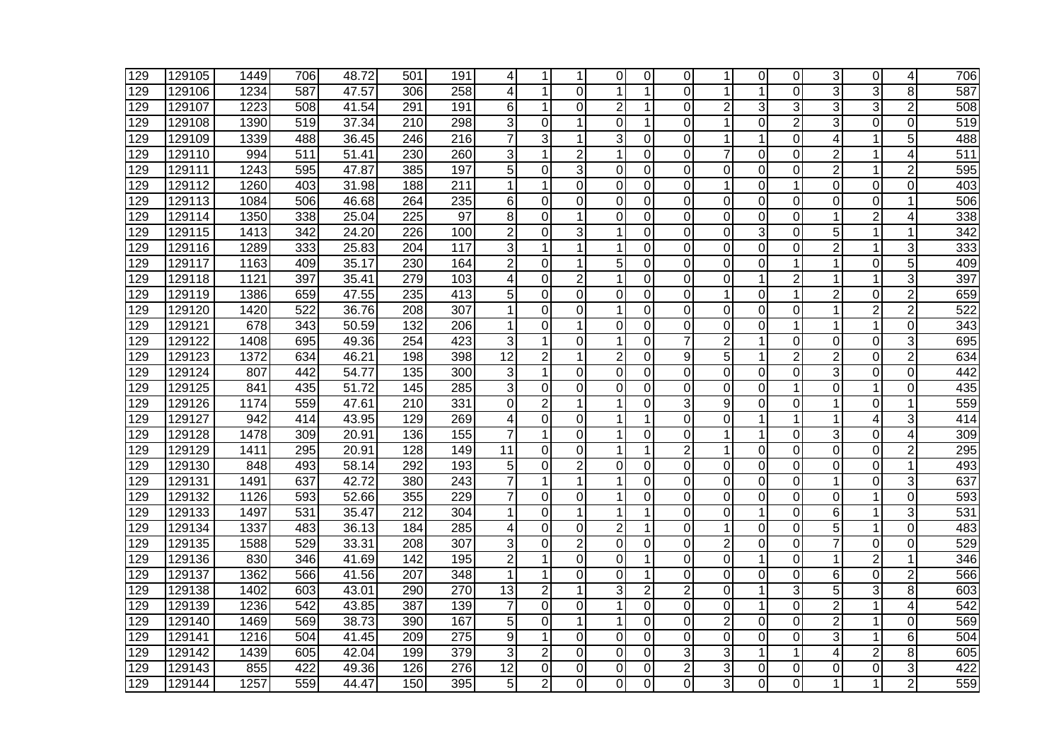| 129 | 129105 | 1449 | 706              | 48.72 | 501              | 191              | 4               |                |                | 0              | 0              | Οl             | 1              | 0              | $\Omega$       | 3              | 0              | 4              | 706 |
|-----|--------|------|------------------|-------|------------------|------------------|-----------------|----------------|----------------|----------------|----------------|----------------|----------------|----------------|----------------|----------------|----------------|----------------|-----|
| 129 | 129106 | 1234 | 587              | 47.57 | 306              | 258              | 4               | 1              | $\Omega$       | $\mathbf{1}$   |                | $\Omega$       | 1              | 1              | $\Omega$       | 3              | 3              | 8              | 587 |
| 129 | 129107 | 1223 | 508              | 41.54 | 291              | 191              | 6               | 1              | 0              | $\overline{2}$ |                | 0              | $\overline{2}$ | 3              | 3              | 3              | 3              | $\overline{2}$ | 508 |
| 129 | 129108 | 1390 | 519              | 37.34 | $\overline{210}$ | 298              | 3               | 0              | 1              | $\Omega$       | 1              | $\Omega$       | 1              | 0              | $\overline{2}$ | 3              | 0              | 0              | 519 |
| 129 | 129109 | 1339 | 488              | 36.45 | 246              | 216              | 7               | 3              | 1              | 3              | 0              | $\Omega$       | 1              | 1              | 0              | 4              | 1              | 5              | 488 |
| 129 | 129110 | 994  | 511              | 51.41 | 230              | 260              | 3               | 1              | $\overline{2}$ | $\mathbf 1$    | 0              | 0              | 7              | 0              | 0              | $\overline{2}$ | 1              | 4              | 511 |
| 129 | 129111 | 1243 | 595              | 47.87 | 385              | 197              | 5               | 0              | 3              | $\Omega$       | 0              | 0              | $\Omega$       | $\Omega$       | 0              | $\overline{2}$ | 1              | 2              | 595 |
| 129 | 129112 | 1260 | 403              | 31.98 | 188              | $\overline{211}$ | 1               | 1              | 0              | 0              | $\mathbf 0$    | $\Omega$       | $\mathbf{1}$   | $\overline{O}$ | $\mathbf 1$    | $\overline{0}$ | 0              | $\Omega$       | 403 |
| 129 | 129113 | 1084 | 506              | 46.68 | 264              | 235              | 6               | 0              | $\Omega$       | $\overline{0}$ | $\Omega$       | $\overline{0}$ | $\overline{0}$ | $\overline{0}$ | $\overline{0}$ | $\overline{0}$ | 0              | 1              | 506 |
| 129 | 129114 | 1350 | 338              | 25.04 | 225              | 97               | 8               | 0              | 1              | 0              | 0              | $\Omega$       | $\mathbf 0$    | 0              | 0              | 1              | $\overline{c}$ | 4              | 338 |
| 129 | 129115 | 1413 | 342              | 24.20 | 226              | 100              | $\overline{2}$  | 0              | 3              | 1              | 0              | $\Omega$       | $\Omega$       | 3              | 0              | 5              | 1              | 1              | 342 |
| 129 | 129116 | 1289 | 333              | 25.83 | 204              | 117              | 3               | 1              | 1              | 1              | 0              | 0              | 0              | 0              | 0              | $\overline{2}$ | 1              | 3              | 333 |
| 129 | 129117 | 1163 | 409              | 35.17 | 230              | 164              | $\overline{c}$  | $\Omega$       | $\mathbf 1$    | 5              | 0              | 0              | 0              | 0              | $\mathbf{1}$   | $\mathbf{1}$   | 0              | 5              | 409 |
| 129 | 129118 | 1121 | 397              | 35.41 | 279              | 103              | 4               | 0              | $\overline{2}$ | $\mathbf 1$    | 0              | 0              | 0              | 1              | $\overline{2}$ | 1              | 1              | 3              | 397 |
| 129 | 129119 | 1386 | 659              | 47.55 | 235              | $\overline{413}$ | 5               | 0              | 0              | $\overline{0}$ | 0              | 0              | $\mathbf{1}$   | 0              | $\mathbf{1}$   | $\overline{2}$ | $\Omega$       | $\overline{2}$ | 659 |
| 129 | 129120 | 1420 | $\overline{522}$ | 36.76 | 208              | $\overline{307}$ | 1               | 0              | $\Omega$       | $\mathbf{1}$   | $\Omega$       | $\overline{0}$ | $\overline{0}$ | $\overline{0}$ | $\overline{0}$ | 1              | $\overline{2}$ | $\overline{2}$ | 522 |
| 129 | 129121 | 678  | $\overline{343}$ | 50.59 | 132              | 206              | 1               | $\Omega$       | 1              | 0              | 0              | 0              | $\mathbf 0$    | 0              | 1              | 1              | 1              | $\Omega$       | 343 |
| 129 | 129122 | 1408 | 695              | 49.36 | 254              | 423              | 3               | 1              | 0              | 1              | 0              | 7              | $\overline{2}$ | 1              | 0              | 0              | 0              | 3              | 695 |
| 129 | 129123 | 1372 | 634              | 46.21 | 198              | 398              | 12              | $\overline{2}$ | 1              | $\overline{2}$ | 0              | 9              | 5              | 1              | $\overline{2}$ | $\overline{2}$ | 0              | $\overline{2}$ | 634 |
| 129 | 129124 | 807  | 442              | 54.77 | 135              | 300              | 3               | 1              | $\Omega$       | 0              | 0              | 0              | $\overline{0}$ | 0              | 0              | 3              | $\Omega$       | 0              | 442 |
| 129 | 129125 | 841  | 435              | 51.72 | 145              | 285              | 3               | 0              | $\mathbf 0$    | $\Omega$       | 0              | 0              | 0              | 0              | 1              | 0              | 1              | $\overline{0}$ | 435 |
| 129 | 129126 | 1174 | 559              | 47.61 | 210              | 331              | $\Omega$        | $\overline{2}$ |                | 1              | 0              | 3              | 9              | $\Omega$       | 0              | 1              | 0              | 1              | 559 |
| 129 | 129127 | 942  | 414              | 43.95 | 129              | 269              | 4               | $\overline{0}$ | 0              | 1              | 1              | $\overline{0}$ | $\overline{0}$ | 1              | $\mathbf 1$    | 1              | 4              | 3              | 414 |
| 129 | 129128 | 1478 | 309              | 20.91 | 136              | 155              | 7               | 1              | $\Omega$       | 1              | 0              | $\Omega$       | 1              | 1              | 0              | 3              | $\Omega$       | $\overline{4}$ | 309 |
| 129 | 129129 | 1411 | 295              | 20.91 | 128              | 149              | 11              | 0              | 0              | 1              |                | $\overline{2}$ | 1              | $\mathbf 0$    | $\Omega$       | 0              | $\mathbf 0$    | 2              | 295 |
| 129 | 129130 | 848  | 493              | 58.14 | 292              | 193              | 5               | 0              | $\overline{2}$ | $\Omega$       | 0              | $\Omega$       | $\Omega$       | 0              | 0              | 0              | $\Omega$       | 1              | 493 |
| 129 | 129131 | 1491 | 637              | 42.72 | 380              | 243              | 7               | 1              | 1              | $\mathbf 1$    | 0              | $\Omega$       | 0              | 0              | 0              | 1              | 0              | 3              | 637 |
| 129 | 129132 | 1126 | 593              | 52.66 | 355              | 229              |                 | 0              | $\Omega$       | 1              | 0              | 0              | 0              | 0              | 0              | 0              | 1              | $\Omega$       | 593 |
| 129 | 129133 | 1497 | 531              | 35.47 | 212              | 304              | 1               | 0              | 1              | 1              |                | 0              | 0              | 1              | 0              | 6              | 1              | 3              | 531 |
| 129 | 129134 | 1337 | 483              | 36.13 | 184              | 285              | 4               | 0              | 0              | $\overline{2}$ | 1              | 0              | $\mathbf{1}$   | 0              | $\overline{0}$ | $\overline{5}$ | 1              | $\overline{0}$ | 483 |
| 129 | 129135 | 1588 | 529              | 33.31 | 208              | $\overline{307}$ | 3               | $\overline{0}$ | $\overline{2}$ | 0              | 0              | $\overline{0}$ | $\overline{2}$ | $\overline{0}$ | $\overline{0}$ | $\overline{7}$ | 0              | $\Omega$       | 529 |
| 129 | 129136 | 830  | 346              | 41.69 | 142              | 195              | $\overline{2}$  |                | $\Omega$       | 0              |                | 0              | $\mathbf 0$    | 1              | $\overline{0}$ | 1              | 2              |                | 346 |
| 129 | 129137 | 1362 | 566              | 41.56 | 207              | 348              | 1               | 1              | 0              | 0              |                | 0              | 0              | 0              | 0              | 6              | 0              | 2              | 566 |
| 129 | 129138 | 1402 | 603              | 43.01 | 290              | 270              | 13              | $\overline{2}$ | 1              | 3              | $\overline{2}$ | $\overline{2}$ | $\mathbf 0$    | 1              | 3              | 5              | 3              | 8              | 603 |
| 129 | 129139 | 1236 | 542              | 43.85 | 387              | 139              |                 | 0              | $\Omega$       | $\mathbf 1$    | 0              | 0              | 0              | 1              | 0              | $\overline{2}$ | 1              | $\overline{4}$ | 542 |
| 129 | 129140 | 1469 | 569              | 38.73 | 390              | 167              | 5               | 0              |                | 1              | 0              | 0              | $\overline{2}$ | $\mathbf 0$    | 0              | $\overline{2}$ | 1              | $\Omega$       | 569 |
| 129 | 129141 | 1216 | 504              | 41.45 | 209              | 275              | 9               | 1              | 0              | $\Omega$       | 0              | 0              | $\Omega$       | 0              | 0              | 3              | 1              | 6              | 504 |
| 129 | 129142 | 1439 | 605              | 42.04 | 199              | 379              | 3               | $\overline{2}$ | $\Omega$       | $\overline{0}$ | 0              | 3              | 3              | 1              | 1              | $\overline{4}$ | $\overline{c}$ | $\overline{8}$ | 605 |
| 129 | 129143 | 855  | 422              | 49.36 | 126              | 276              | $\overline{12}$ | 0              | 0              | 0              | 0              | $\overline{2}$ | $\overline{3}$ | 0              | 0              | 0              | 0              | 3              | 422 |
| 129 | 129144 | 1257 | 559              | 44.47 | 150              | 395              | 5               | $\overline{2}$ | $\Omega$       | $\Omega$       | 0              | $\Omega$       | 3              | $\Omega$       | $\Omega$       | 1              | 1              | 2              | 559 |